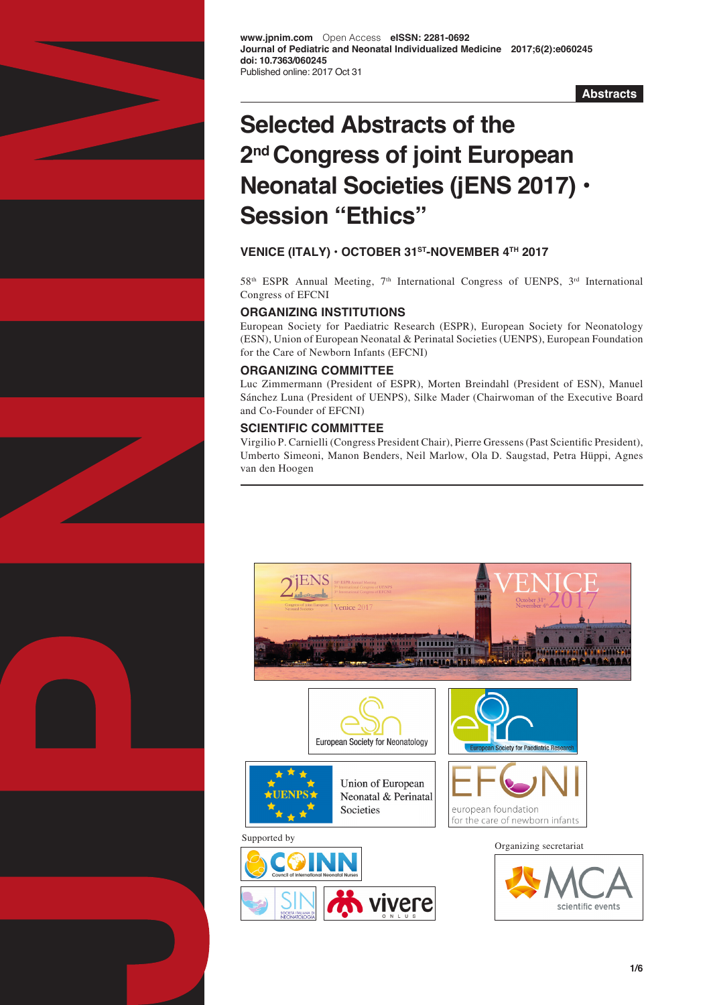

**www.jpnim.com** Open Access **eISSN: 2281-0692 Journal of Pediatric and Neonatal Individualized Medicine 2017;6(2):e060245 doi: 10.7363/060245** Published online: 2017 Oct 31

**Abstracts**

# **Selected Abstracts of the 2nd Congress of joint European Neonatal Societies (jENS 2017) • Session "Ethics"**

# **VENICE (ITALY) • OCTOBER 31ST-NOVEMBER 4TH 2017**

 $58<sup>th</sup> ESPR Annual Meeting, 7<sup>th</sup> International Congress of UENPS, 3<sup>rd</sup> International$ Congress of EFCNI

# **ORGANIZING INSTITUTIONS**

European Society for Paediatric Research (ESPR), European Society for Neonatology (ESN), Union of European Neonatal & Perinatal Societies (UENPS), European Foundation for the Care of Newborn Infants (EFCNI)

## **ORGANIZING COMMITTEE**

Luc Zimmermann (President of ESPR), Morten Breindahl (President of ESN), Manuel Sánchez Luna (President of UENPS), Silke Mader (Chairwoman of the Executive Board and Co-Founder of EFCNI)

# **SCIENTIFIC COMMITTEE**

Virgilio P. Carnielli (Congress President Chair), Pierre Gressens (Past Scientific President), Umberto Simeoni, Manon Benders, Neil Marlow, Ola D. Saugstad, Petra Hüppi, Agnes van den Hoogen

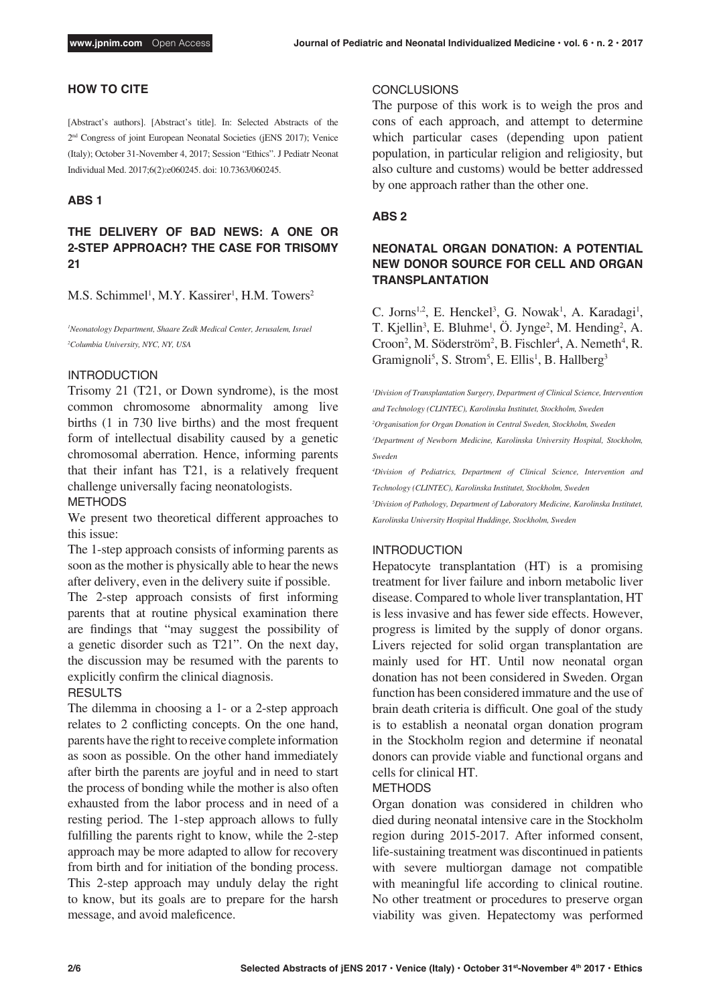## **HOW TO CITE**

[Abstract's authors]. [Abstract's title]. In: Selected Abstracts of the 2nd Congress of joint European Neonatal Societies (jENS 2017); Venice (Italy); October 31-November 4, 2017; Session "Ethics". J Pediatr Neonat Individual Med. 2017;6(2):e060245. doi: 10.7363/060245.

## **ABS 1**

# **THE DELIVERY OF BAD NEWS: A ONE OR 2-STEP APPROACH? THE CASE FOR TRISOMY 21**

M.S. Schimmel<sup>1</sup>, M.Y. Kassirer<sup>1</sup>, H.M. Towers<sup>2</sup>

<sup>1</sup>Neonatology Department, Shaare Zedk Medical Center, Jerusalem, Israel *2 Columbia University, NYC, NY, USA*

#### INTRODUCTION

Trisomy 21 (T21, or Down syndrome), is the most common chromosome abnormality among live births (1 in 730 live births) and the most frequent form of intellectual disability caused by a genetic chromosomal aberration. Hence, informing parents that their infant has T21, is a relatively frequent challenge universally facing neonatologists.

METHODS

We present two theoretical different approaches to this issue:

The 1-step approach consists of informing parents as soon as the mother is physically able to hear the news after delivery, even in the delivery suite if possible.

The 2-step approach consists of first informing parents that at routine physical examination there are findings that "may suggest the possibility of a genetic disorder such as T21". On the next day, the discussion may be resumed with the parents to explicitly confirm the clinical diagnosis. **RESULTS** 

The dilemma in choosing a 1- or a 2-step approach relates to 2 conflicting concepts. On the one hand, parents have the right to receive complete information as soon as possible. On the other hand immediately after birth the parents are joyful and in need to start the process of bonding while the mother is also often exhausted from the labor process and in need of a resting period. The 1-step approach allows to fully fulfilling the parents right to know, while the 2-step approach may be more adapted to allow for recovery from birth and for initiation of the bonding process. This 2-step approach may unduly delay the right to know, but its goals are to prepare for the harsh message, and avoid maleficence.

#### **CONCLUSIONS**

The purpose of this work is to weigh the pros and cons of each approach, and attempt to determine which particular cases (depending upon patient population, in particular religion and religiosity, but also culture and customs) would be better addressed by one approach rather than the other one.

## **ABS 2**

# **NEONATAL ORGAN DONATION: A POTENTIAL NEW DONOR SOURCE FOR CELL AND ORGAN TRANSPLANTATION**

C. Jorns<sup>1,2</sup>, E. Henckel<sup>3</sup>, G. Nowak<sup>1</sup>, A. Karadagi<sup>1</sup>, T. Kjellin<sup>3</sup>, E. Bluhme<sup>1</sup>, Ö. Jynge<sup>2</sup>, M. Hending<sup>2</sup>, A. Croon<sup>2</sup>, M. Söderström<sup>2</sup>, B. Fischler<sup>4</sup>, A. Nemeth<sup>4</sup>, R. Gramignoli<sup>5</sup>, S. Strom<sup>5</sup>, E. Ellis<sup>1</sup>, B. Hallberg<sup>3</sup>

<sup>1</sup>Division of Transplantation Surgery, Department of Clinical Science, Intervention *and Technology (CLINTEC), Karolinska Institutet, Stockholm, Sweden 2 Organisation for Organ Donation in Central Sweden, Stockholm, Sweden 3 Department of Newborn Medicine, Karolinska University Hospital, Stockholm, Sweden 4 Division of Pediatrics, Department of Clinical Science, Intervention and Technology (CLINTEC), Karolinska Institutet, Stockholm, Sweden 5 Division of Pathology, Department of Laboratory Medicine, Karolinska Institutet,* 

*Karolinska University Hospital Huddinge, Stockholm, Sweden*

## INTRODUCTION

Hepatocyte transplantation (HT) is a promising treatment for liver failure and inborn metabolic liver disease. Compared to whole liver transplantation, HT is less invasive and has fewer side effects. However, progress is limited by the supply of donor organs. Livers rejected for solid organ transplantation are mainly used for HT. Until now neonatal organ donation has not been considered in Sweden. Organ function has been considered immature and the use of brain death criteria is difficult. One goal of the study is to establish a neonatal organ donation program in the Stockholm region and determine if neonatal donors can provide viable and functional organs and cells for clinical HT.

#### METHODS

Organ donation was considered in children who died during neonatal intensive care in the Stockholm region during 2015-2017. After informed consent, life-sustaining treatment was discontinued in patients with severe multiorgan damage not compatible with meaningful life according to clinical routine. No other treatment or procedures to preserve organ viability was given. Hepatectomy was performed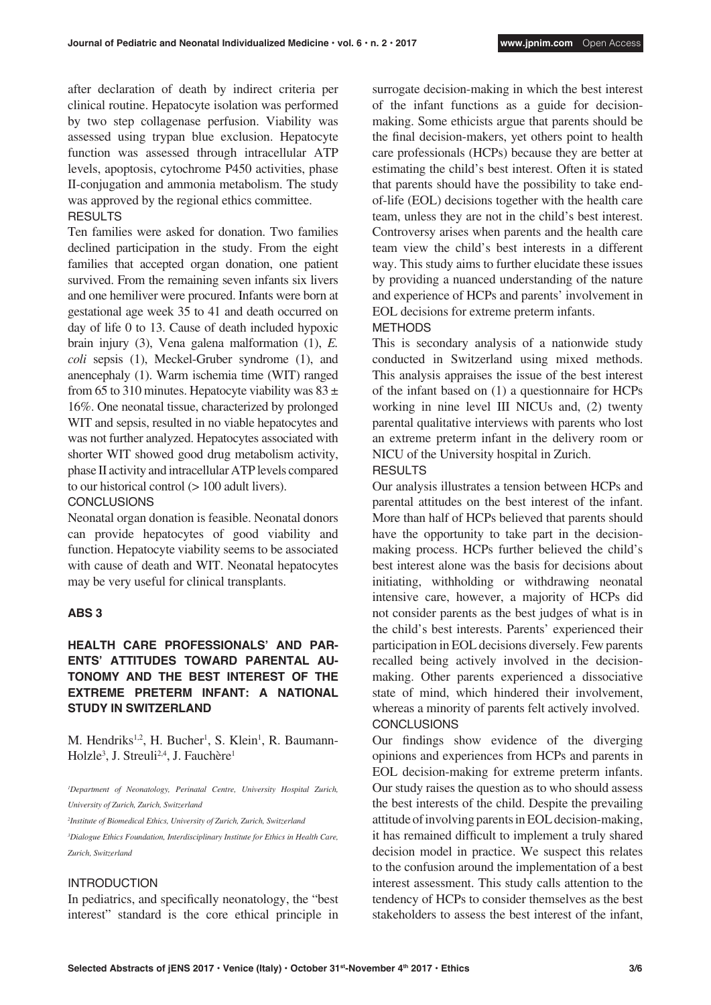after declaration of death by indirect criteria per clinical routine. Hepatocyte isolation was performed by two step collagenase perfusion. Viability was assessed using trypan blue exclusion. Hepatocyte function was assessed through intracellular ATP levels, apoptosis, cytochrome P450 activities, phase II-conjugation and ammonia metabolism. The study was approved by the regional ethics committee.

## **RESULTS**

Ten families were asked for donation. Two families declined participation in the study. From the eight families that accepted organ donation, one patient survived. From the remaining seven infants six livers and one hemiliver were procured. Infants were born at gestational age week 35 to 41 and death occurred on day of life 0 to 13. Cause of death included hypoxic brain injury (3), Vena galena malformation (1), *E. coli* sepsis (1), Meckel-Gruber syndrome (1), and anencephaly (1). Warm ischemia time (WIT) ranged from 65 to 310 minutes. Hepatocyte viability was  $83 \pm$ 16%. One neonatal tissue, characterized by prolonged WIT and sepsis, resulted in no viable hepatocytes and was not further analyzed. Hepatocytes associated with shorter WIT showed good drug metabolism activity, phase II activity and intracellular ATP levels compared to our historical control (> 100 adult livers).

## **CONCLUSIONS**

Neonatal organ donation is feasible. Neonatal donors can provide hepatocytes of good viability and function. Hepatocyte viability seems to be associated with cause of death and WIT. Neonatal hepatocytes may be very useful for clinical transplants.

#### **ABS 3**

# **HEALTH CARE PROFESSIONALS' AND PAR-ENTS' ATTITUDES TOWARD PARENTAL AU-TONOMY AND THE BEST INTEREST OF THE EXTREME PRETERM INFANT: A NATIONAL STUDY IN SWITZERLAND**

M. Hendriks<sup>1,2</sup>, H. Bucher<sup>1</sup>, S. Klein<sup>1</sup>, R. Baumann-Holzle<sup>3</sup>, J. Streuli<sup>2,4</sup>, J. Fauchère<sup>1</sup>

*1 Department of Neonatology, Perinatal Centre, University Hospital Zurich, University of Zurich, Zurich, Switzerland* 

<sup>2</sup>Institute of Biomedical Ethics, University of Zurich, Zurich, Switzerland

*3 Dialogue Ethics Foundation, Interdisciplinary Institute for Ethics in Health Care, Zurich, Switzerland*

## INTRODUCTION

In pediatrics, and specifically neonatology, the "best interest" standard is the core ethical principle in

surrogate decision-making in which the best interest of the infant functions as a guide for decisionmaking. Some ethicists argue that parents should be the final decision-makers, yet others point to health care professionals (HCPs) because they are better at estimating the child's best interest. Often it is stated that parents should have the possibility to take endof-life (EOL) decisions together with the health care team, unless they are not in the child's best interest. Controversy arises when parents and the health care team view the child's best interests in a different way. This study aims to further elucidate these issues by providing a nuanced understanding of the nature and experience of HCPs and parents' involvement in EOL decisions for extreme preterm infants. METHODS

This is secondary analysis of a nationwide study conducted in Switzerland using mixed methods. This analysis appraises the issue of the best interest of the infant based on (1) a questionnaire for HCPs working in nine level III NICUs and, (2) twenty parental qualitative interviews with parents who lost an extreme preterm infant in the delivery room or NICU of the University hospital in Zurich. **RESULTS** 

Our analysis illustrates a tension between HCPs and parental attitudes on the best interest of the infant. More than half of HCPs believed that parents should have the opportunity to take part in the decisionmaking process. HCPs further believed the child's best interest alone was the basis for decisions about initiating, withholding or withdrawing neonatal intensive care, however, a majority of HCPs did not consider parents as the best judges of what is in the child's best interests. Parents' experienced their participation in EOL decisions diversely. Few parents recalled being actively involved in the decisionmaking. Other parents experienced a dissociative state of mind, which hindered their involvement, whereas a minority of parents felt actively involved. **CONCLUSIONS** 

Our findings show evidence of the diverging opinions and experiences from HCPs and parents in EOL decision-making for extreme preterm infants. Our study raises the question as to who should assess the best interests of the child. Despite the prevailing attitude of involving parents in EOL decision-making, it has remained difficult to implement a truly shared decision model in practice. We suspect this relates to the confusion around the implementation of a best interest assessment. This study calls attention to the tendency of HCPs to consider themselves as the best stakeholders to assess the best interest of the infant,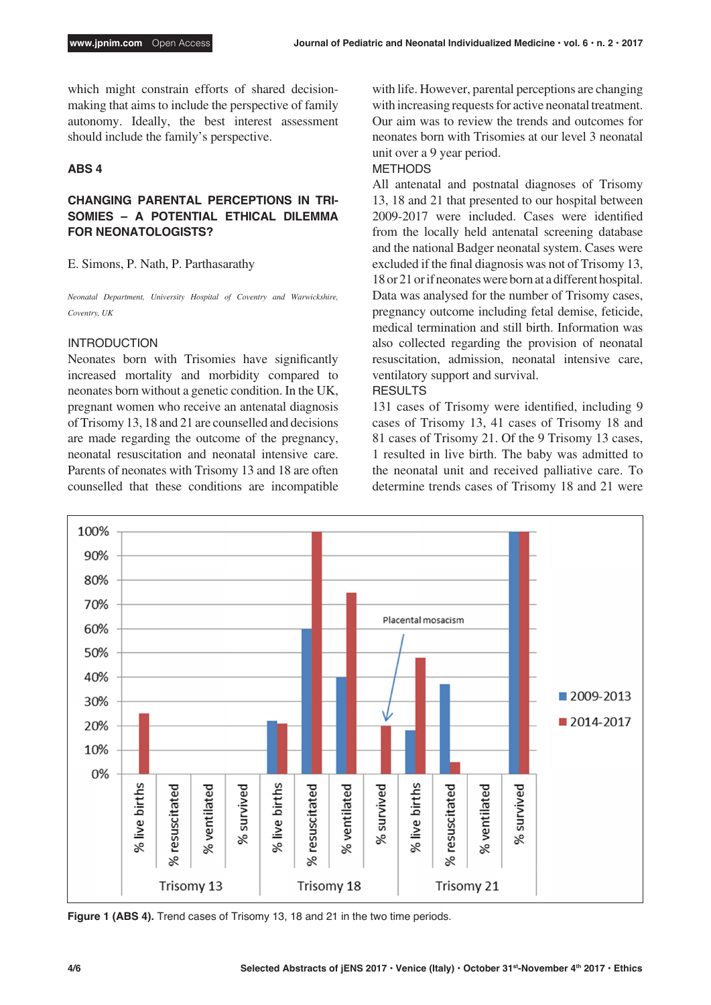which might constrain efforts of shared decisionmaking that aims to include the perspective of family autonomy. Ideally, the best interest assessment should include the family's perspective.

## **ABS 4**

# **CHANGING PARENTAL PERCEPTIONS IN TRI-SOMIES – A POTENTIAL ETHICAL DILEMMA FOR NEONATOLOGISTS?**

E. Simons, P. Nath, P. Parthasarathy

*Neonatal Department, University Hospital of Coventry and Warwickshire, Coventry, UK*

## INTRODUCTION

Neonates born with Trisomies have significantly increased mortality and morbidity compared to neonates born without a genetic condition. In the UK, pregnant women who receive an antenatal diagnosis of Trisomy 13, 18 and 21 are counselled and decisions are made regarding the outcome of the pregnancy, neonatal resuscitation and neonatal intensive care. Parents of neonates with Trisomy 13 and 18 are often counselled that these conditions are incompatible

with life. However, parental perceptions are changing with increasing requests for active neonatal treatment. Our aim was to review the trends and outcomes for neonates born with Trisomies at our level 3 neonatal unit over a 9 year period.

## METHODS

All antenatal and postnatal diagnoses of Trisomy 13, 18 and 21 that presented to our hospital between 2009-2017 were included. Cases were identified from the locally held antenatal screening database and the national Badger neonatal system. Cases were excluded if the final diagnosis was not of Trisomy 13, 18 or 21 or if neonates were born at a different hospital. Data was analysed for the number of Trisomy cases, pregnancy outcome including fetal demise, feticide, medical termination and still birth. Information was also collected regarding the provision of neonatal resuscitation, admission, neonatal intensive care, ventilatory support and survival.

#### RESULTS

131 cases of Trisomy were identified, including 9 cases of Trisomy 13, 41 cases of Trisomy 18 and 81 cases of Trisomy 21. Of the 9 Trisomy 13 cases, 1 resulted in live birth. The baby was admitted to the neonatal unit and received palliative care. To determine trends cases of Trisomy 18 and 21 were

![](_page_3_Figure_14.jpeg)

**Figure 1 (ABS 4).** Trend cases of Trisomy 13, 18 and 21 in the two time periods.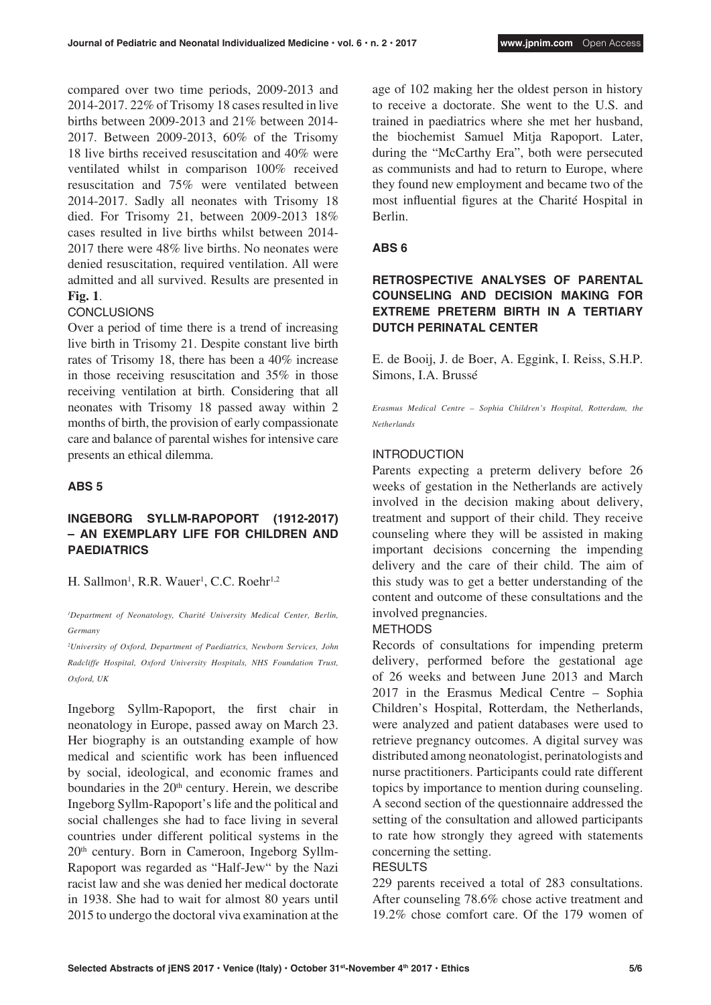compared over two time periods, 2009-2013 and 2014-2017. 22% of Trisomy 18 cases resulted in live births between 2009-2013 and 21% between 2014- 2017. Between 2009-2013, 60% of the Trisomy 18 live births received resuscitation and 40% were ventilated whilst in comparison 100% received resuscitation and 75% were ventilated between 2014-2017. Sadly all neonates with Trisomy 18 died. For Trisomy 21, between 2009-2013 18% cases resulted in live births whilst between 2014- 2017 there were 48% live births. No neonates were denied resuscitation, required ventilation. All were admitted and all survived. Results are presented in **Fig. 1**.

# **CONCLUSIONS**

Over a period of time there is a trend of increasing live birth in Trisomy 21. Despite constant live birth rates of Trisomy 18, there has been a 40% increase in those receiving resuscitation and 35% in those receiving ventilation at birth. Considering that all neonates with Trisomy 18 passed away within 2 months of birth, the provision of early compassionate care and balance of parental wishes for intensive care presents an ethical dilemma.

# **ABS 5**

# **INGEBORG SYLLM-RAPOPORT (1912-2017) – AN EXEMPLARY LIFE FOR CHILDREN AND PAEDIATRICS**

H. Sallmon<sup>1</sup>, R.R. Wauer<sup>1</sup>, C.C. Roehr<sup>1,2</sup>

*1 Department of Neonatology, Charité University Medical Center, Berlin, Germany*

*2 University of Oxford, Department of Paediatrics, Newborn Services, John Radcliffe Hospital, Oxford University Hospitals, NHS Foundation Trust, Oxford, UK*

Ingeborg Syllm-Rapoport, the first chair in neonatology in Europe, passed away on March 23. Her biography is an outstanding example of how medical and scientific work has been influenced by social, ideological, and economic frames and boundaries in the  $20<sup>th</sup>$  century. Herein, we describe Ingeborg Syllm-Rapoport's life and the political and social challenges she had to face living in several countries under different political systems in the 20th century. Born in Cameroon, Ingeborg Syllm-Rapoport was regarded as "Half-Jew" by the Nazi racist law and she was denied her medical doctorate in 1938. She had to wait for almost 80 years until 2015 to undergo the doctoral viva examination at the

age of 102 making her the oldest person in history to receive a doctorate. She went to the U.S. and trained in paediatrics where she met her husband, the biochemist Samuel Mitja Rapoport. Later, during the "McCarthy Era", both were persecuted as communists and had to return to Europe, where they found new employment and became two of the most influential figures at the Charité Hospital in Berlin.

# **ABS 6**

# **RETROSPECTIVE ANALYSES OF PARENTAL COUNSELING AND DECISION MAKING FOR EXTREME PRETERM BIRTH IN A TERTIARY DUTCH PERINATAL CENTER**

E. de Booij, J. de Boer, A. Eggink, I. Reiss, S.H.P. Simons, I.A. Brussé

*Erasmus Medical Centre – Sophia Children's Hospital, Rotterdam, the Netherlands*

# INTRODUCTION

Parents expecting a preterm delivery before 26 weeks of gestation in the Netherlands are actively involved in the decision making about delivery, treatment and support of their child. They receive counseling where they will be assisted in making important decisions concerning the impending delivery and the care of their child. The aim of this study was to get a better understanding of the content and outcome of these consultations and the involved pregnancies.

# METHODS

Records of consultations for impending preterm delivery, performed before the gestational age of 26 weeks and between June 2013 and March 2017 in the Erasmus Medical Centre – Sophia Children's Hospital, Rotterdam, the Netherlands, were analyzed and patient databases were used to retrieve pregnancy outcomes. A digital survey was distributed among neonatologist, perinatologists and nurse practitioners. Participants could rate different topics by importance to mention during counseling. A second section of the questionnaire addressed the setting of the consultation and allowed participants to rate how strongly they agreed with statements concerning the setting.

# RESULTS

229 parents received a total of 283 consultations. After counseling 78.6% chose active treatment and 19.2% chose comfort care. Of the 179 women of